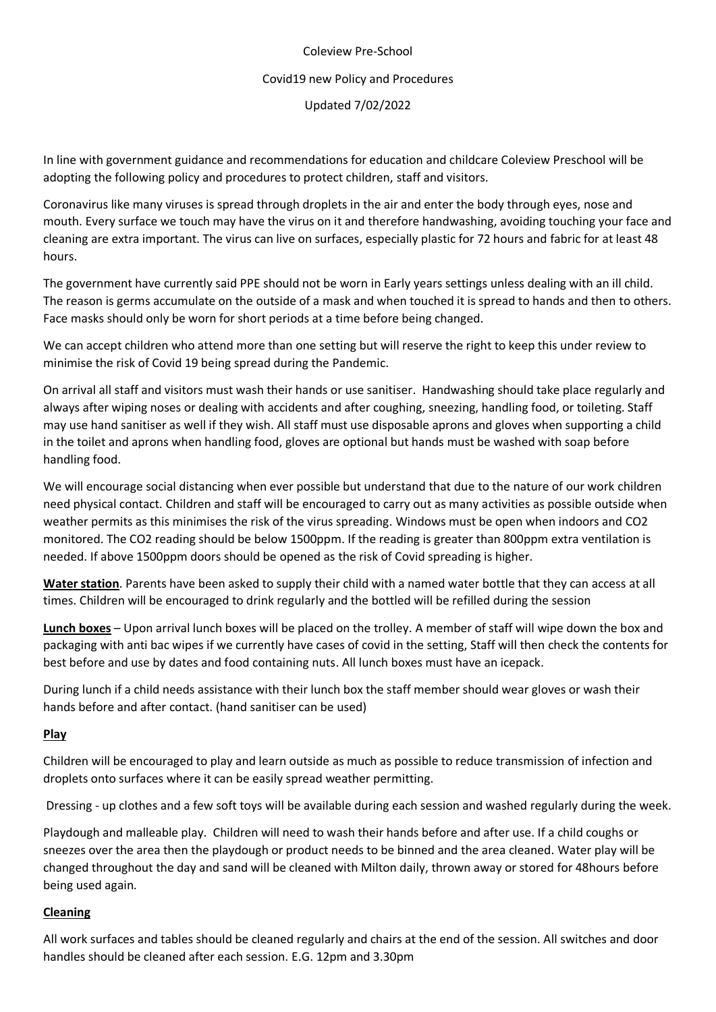# Coleview Pre-School Covid19 new Policy and Procedures Updated 7/02/2022

In line with government guidance and recommendations for education and childcare Coleview Preschool will be adopting the following policy and procedures to protect children, staff and visitors.

Coronavirus like many viruses is spread through droplets in the air and enter the body through eyes, nose and mouth. Every surface we touch may have the virus on it and therefore handwashing, avoiding touching your face and cleaning are extra important. The virus can live on surfaces, especially plastic for 72 hours and fabric for at least 48 hours.

The government have currently said PPE should not be worn in Early years settings unless dealing with an ill child. The reason is germs accumulate on the outside of a mask and when touched it is spread to hands and then to others. Face masks should only be worn for short periods at a time before being changed.

We can accept children who attend more than one setting but will reserve the right to keep this under review to minimise the risk of Covid 19 being spread during the Pandemic.

On arrival all staff and visitors must wash their hands or use sanitiser. Handwashing should take place regularly and always after wiping noses or dealing with accidents and after coughing, sneezing, handling food, or toileting. Staff may use hand sanitiser as well if they wish. All staff must use disposable aprons and gloves when supporting a child in the toilet and aprons when handling food, gloves are optional but hands must be washed with soap before handling food.

We will encourage social distancing when ever possible but understand that due to the nature of our work children need physical contact. Children and staff will be encouraged to carry out as many activities as possible outside when weather permits as this minimises the risk of the virus spreading. Windows must be open when indoors and CO2 monitored. The CO2 reading should be below 1500ppm. If the reading is greater than 800ppm extra ventilation is needed. If above 1500ppm doors should be opened as the risk of Covid spreading is higher.

**Water station**. Parents have been asked to supply their child with a named water bottle that they can access at all times. Children will be encouraged to drink regularly and the bottled will be refilled during the session

**Lunch boxes** – Upon arrival lunch boxes will be placed on the trolley. A member of staff will wipe down the box and packaging with anti bac wipes if we currently have cases of covid in the setting, Staff will then check the contents for best before and use by dates and food containing nuts. All lunch boxes must have an icepack.

During lunch if a child needs assistance with their lunch box the staff member should wear gloves or wash their hands before and after contact. (hand sanitiser can be used)

#### **Play**

Children will be encouraged to play and learn outside as much as possible to reduce transmission of infection and droplets onto surfaces where it can be easily spread weather permitting.

Dressing - up clothes and a few soft toys will be available during each session and washed regularly during the week.

Playdough and malleable play. Children will need to wash their hands before and after use. If a child coughs or sneezes over the area then the playdough or product needs to be binned and the area cleaned. Water play will be changed throughout the day and sand will be cleaned with Milton daily, thrown away or stored for 48hours before being used again.

#### **Cleaning**

All work surfaces and tables should be cleaned regularly and chairs at the end of the session. All switches and door handles should be cleaned after each session. E.G. 12pm and 3.30pm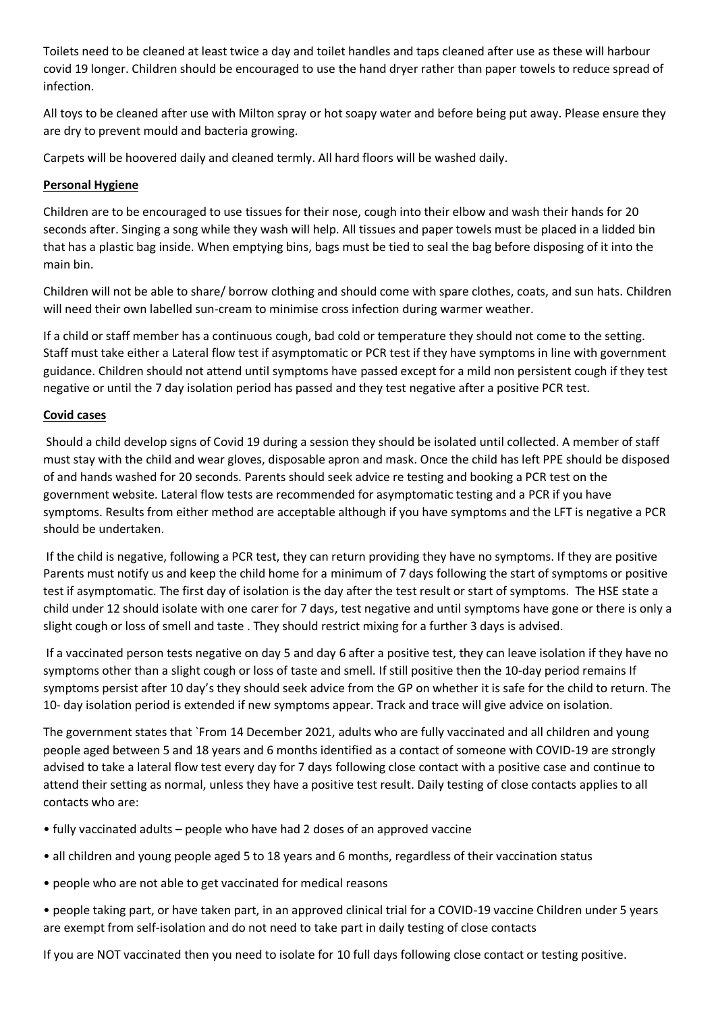Toilets need to be cleaned at least twice a day and toilet handles and taps cleaned after use as these will harbour covid 19 longer. Children should be encouraged to use the hand dryer rather than paper towels to reduce spread of infection.

All toys to be cleaned after use with Milton spray or hot soapy water and before being put away. Please ensure they are dry to prevent mould and bacteria growing.

Carpets will be hoovered daily and cleaned termly. All hard floors will be washed daily.

### **Personal Hygiene**

Children are to be encouraged to use tissues for their nose, cough into their elbow and wash their hands for 20 seconds after. Singing a song while they wash will help. All tissues and paper towels must be placed in a lidded bin that has a plastic bag inside. When emptying bins, bags must be tied to seal the bag before disposing of it into the main bin.

Children will not be able to share/ borrow clothing and should come with spare clothes, coats, and sun hats. Children will need their own labelled sun-cream to minimise cross infection during warmer weather.

If a child or staff member has a continuous cough, bad cold or temperature they should not come to the setting. Staff must take either a Lateral flow test if asymptomatic or PCR test if they have symptoms in line with government guidance. Children should not attend until symptoms have passed except for a mild non persistent cough if they test negative or until the 7 day isolation period has passed and they test negative after a positive PCR test.

### **Covid cases**

Should a child develop signs of Covid 19 during a session they should be isolated until collected. A member of staff must stay with the child and wear gloves, disposable apron and mask. Once the child has left PPE should be disposed of and hands washed for 20 seconds. Parents should seek advice re testing and booking a PCR test on the government website. Lateral flow tests are recommended for asymptomatic testing and a PCR if you have symptoms. Results from either method are acceptable although if you have symptoms and the LFT is negative a PCR should be undertaken.

If the child is negative, following a PCR test, they can return providing they have no symptoms. If they are positive Parents must notify us and keep the child home for a minimum of 7 days following the start of symptoms or positive test if asymptomatic. The first day of isolation is the day after the test result or start of symptoms. The HSE state a child under 12 should isolate with one carer for 7 days, test negative and until symptoms have gone or there is only a slight cough or loss of smell and taste . They should restrict mixing for a further 3 days is advised.

If a vaccinated person tests negative on day 5 and day 6 after a positive test, they can leave isolation if they have no symptoms other than a slight cough or loss of taste and smell. If still positive then the 10-day period remains If symptoms persist after 10 day's they should seek advice from the GP on whether it is safe for the child to return. The 10- day isolation period is extended if new symptoms appear. Track and trace will give advice on isolation.

The government states that `From 14 December 2021, adults who are fully vaccinated and all children and young people aged between 5 and 18 years and 6 months identified as a contact of someone with COVID-19 are strongly advised to take a lateral flow test every day for 7 days following close contact with a positive case and continue to attend their setting as normal, unless they have a positive test result. Daily testing of close contacts applies to all contacts who are:

- fully vaccinated adults people who have had 2 doses of an approved vaccine
- all children and young people aged 5 to 18 years and 6 months, regardless of their vaccination status
- people who are not able to get vaccinated for medical reasons

• people taking part, or have taken part, in an approved clinical trial for a COVID-19 vaccine Children under 5 years are exempt from self-isolation and do not need to take part in daily testing of close contacts

If you are NOT vaccinated then you need to isolate for 10 full days following close contact or testing positive.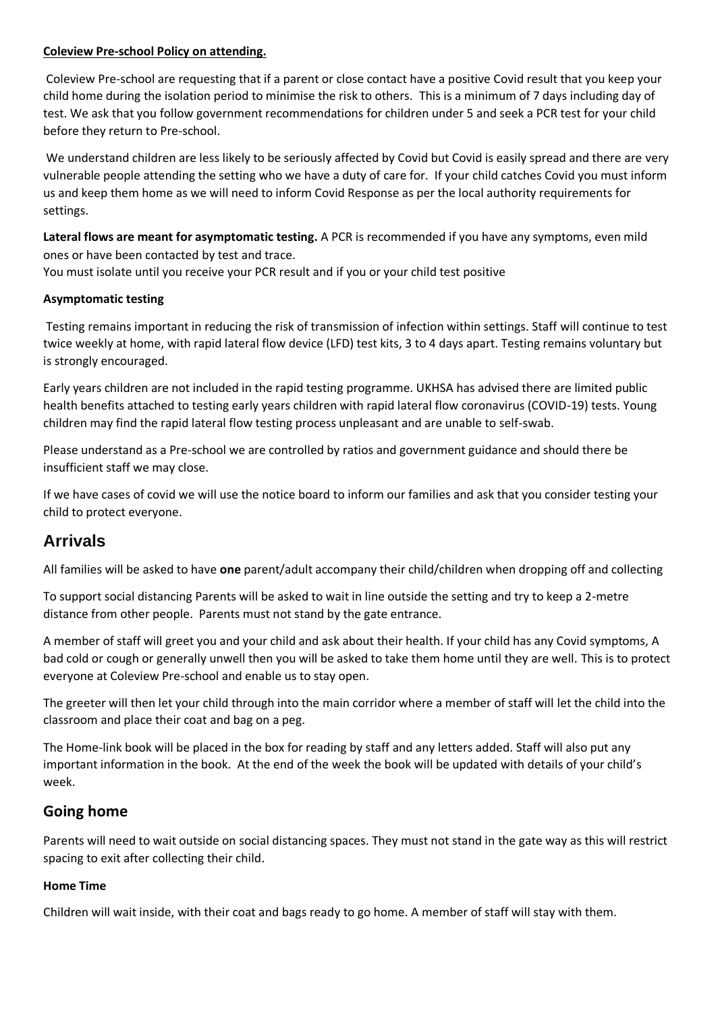#### **Coleview Pre-school Policy on attending.**

Coleview Pre-school are requesting that if a parent or close contact have a positive Covid result that you keep your child home during the isolation period to minimise the risk to others. This is a minimum of 7 days including day of test. We ask that you follow government recommendations for children under 5 and seek a PCR test for your child before they return to Pre-school.

We understand children are less likely to be seriously affected by Covid but Covid is easily spread and there are very vulnerable people attending the setting who we have a duty of care for. If your child catches Covid you must inform us and keep them home as we will need to inform Covid Response as per the local authority requirements for settings.

**Lateral flows are meant for asymptomatic testing.** A PCR is recommended if you have any symptoms, even mild ones or have been contacted by test and trace.

You must isolate until you receive your PCR result and if you or your child test positive

#### **Asymptomatic testing**

Testing remains important in reducing the risk of transmission of infection within settings. Staff will continue to test twice weekly at home, with rapid lateral flow device (LFD) test kits, 3 to 4 days apart. Testing remains voluntary but is strongly encouraged.

Early years children are not included in the rapid testing programme. UKHSA has advised there are limited public health benefits attached to testing early years children with rapid lateral flow coronavirus (COVID-19) tests. Young children may find the rapid lateral flow testing process unpleasant and are unable to self-swab.

Please understand as a Pre-school we are controlled by ratios and government guidance and should there be insufficient staff we may close.

If we have cases of covid we will use the notice board to inform our families and ask that you consider testing your child to protect everyone.

# **Arrivals**

All families will be asked to have **one** parent/adult accompany their child/children when dropping off and collecting

To support social distancing Parents will be asked to wait in line outside the setting and try to keep a 2-metre distance from other people. Parents must not stand by the gate entrance.

A member of staff will greet you and your child and ask about their health. If your child has any Covid symptoms, A bad cold or cough or generally unwell then you will be asked to take them home until they are well. This is to protect everyone at Coleview Pre-school and enable us to stay open.

The greeter will then let your child through into the main corridor where a member of staff will let the child into the classroom and place their coat and bag on a peg.

The Home-link book will be placed in the box for reading by staff and any letters added. Staff will also put any important information in the book. At the end of the week the book will be updated with details of your child's week.

## **Going home**

Parents will need to wait outside on social distancing spaces. They must not stand in the gate way as this will restrict spacing to exit after collecting their child.

#### **Home Time**

Children will wait inside, with their coat and bags ready to go home. A member of staff will stay with them.